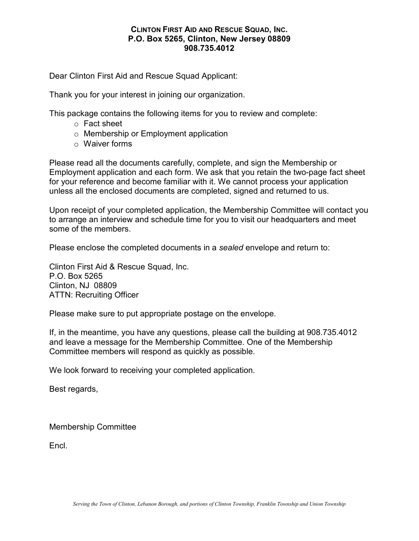Dear Clinton First Aid and Rescue Squad Applicant:

Thank you for your interest in joining our organization.

This package contains the following items for you to review and complete:

- o Fact sheet
- o Membership or Employment application
- o Waiver forms

Please read all the documents carefully, complete, and sign the Membership or Employment application and each form. We ask that you retain the two-page fact sheet for your reference and become familiar with it. We cannot process your application unless all the enclosed documents are completed, signed and returned to us.

Upon receipt of your completed application, the Membership Committee will contact you to arrange an interview and schedule time for you to visit our headquarters and meet some of the members.

Please enclose the completed documents in a *sealed* envelope and return to:

Clinton First Aid & Rescue Squad, Inc. P.O. Box 5265 Clinton, NJ 08809 ATTN: Recruiting Officer

Please make sure to put appropriate postage on the envelope.

If, in the meantime, you have any questions, please call the building at 908.735.4012 and leave a message for the Membership Committee. One of the Membership Committee members will respond as quickly as possible.

We look forward to receiving your completed application.

Best regards,

Membership Committee

Encl.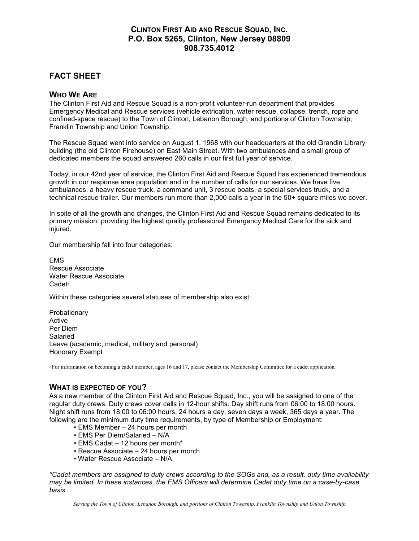# FACT SHEET

#### WHO WE ARE

The Clinton First Aid and Rescue Squad is a non-profit volunteer-run department that provides Emergency Medical and Rescue services (vehicle extrication, water rescue, collapse, trench, rope and confined-space rescue) to the Town of Clinton, Lebanon Borough, and portions of Clinton Township, Franklin Township and Union Township.

The Rescue Squad went into service on August 1, 1968 with our headquarters at the old Grandin Library building (the old Clinton Firehouse) on East Main Street. With two ambulances and a small group of dedicated members the squad answered 260 calls in our first full year of service.

Today, in our 42nd year of service, the Clinton First Aid and Rescue Squad has experienced tremendous growth in our response area population and in the number of calls for our services. We have five ambulances, a heavy rescue truck, a command unit, 3 rescue boats, a special services truck, and a technical rescue trailer. Our members run more than 2,000 calls a year in the 50+ square miles we cover.

In spite of all the growth and changes, the Clinton First Aid and Rescue Squad remains dedicated to its primary mission: providing the highest quality professional Emergency Medical Care for the sick and injured.

Our membership fall into four categories:

**EMS** Rescue Associate Water Rescue Associate Cadet<sub>\*</sub>

Within these categories several statuses of membership also exist:

Probationary Active Per Diem Salaried Leave (academic, medical, military and personal) Honorary Exempt

\* For information on becoming a cadet member, ages 16 and 17, please contact the Membership Committee for a cadet application.

#### WHAT IS EXPECTED OF YOU?

As a new member of the Clinton First Aid and Rescue Squad, Inc., you will be assigned to one of the regular duty crews. Duty crews cover calls in 12-hour shifts. Day shift runs from 06:00 to 18:00 hours. Night shift runs from 18:00 to 06:00 hours, 24 hours a day, seven days a week, 365 days a year. The following are the minimum duty time requirements, by type of Membership or Employment:

- EMS Member 24 hours per month
- EMS Per Diem/Salaried N/A
- EMS Cadet 12 hours per month\*
- Rescue Associate 24 hours per month
- Water Rescue Associate N/A

*\*Cadet members are assigned to duty crews according to the SOGs and, as a result, duty time availability may be limited. In these instances, the EMS Officers will determine Cadet duty time on a case-by-case basis.*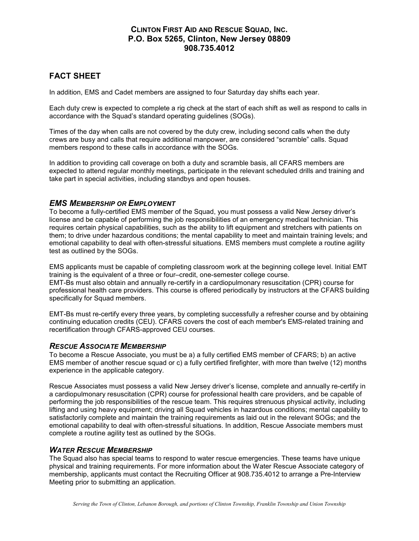# FACT SHEET

In addition, EMS and Cadet members are assigned to four Saturday day shifts each year.

Each duty crew is expected to complete a rig check at the start of each shift as well as respond to calls in accordance with the Squad's standard operating guidelines (SOGs).

Times of the day when calls are not covered by the duty crew, including second calls when the duty crews are busy and calls that require additional manpower, are considered "scramble" calls. Squad members respond to these calls in accordance with the SOGs.

In addition to providing call coverage on both a duty and scramble basis, all CFARS members are expected to attend regular monthly meetings, participate in the relevant scheduled drills and training and take part in special activities, including standbys and open houses.

#### *EMS MEMBERSHIP OR EMPLOYMENT*

To become a fully-certified EMS member of the Squad, you must possess a valid New Jersey driver's license and be capable of performing the job responsibilities of an emergency medical technician. This requires certain physical capabilities, such as the ability to lift equipment and stretchers with patients on them; to drive under hazardous conditions; the mental capability to meet and maintain training levels; and emotional capability to deal with often-stressful situations. EMS members must complete a routine agility test as outlined by the SOGs.

EMS applicants must be capable of completing classroom work at the beginning college level. Initial EMT training is the equivalent of a three or four–credit, one-semester college course. EMT-Bs must also obtain and annually re-certify in a cardiopulmonary resuscitation (CPR) course for professional health care providers. This course is offered periodically by instructors at the CFARS building specifically for Squad members.

EMT-Bs must re-certify every three years, by completing successfully a refresher course and by obtaining continuing education credits (CEU). CFARS covers the cost of each member's EMS-related training and recertification through CFARS-approved CEU courses.

#### *RESCUE ASSOCIATE MEMBERSHIP*

To become a Rescue Associate, you must be a) a fully certified EMS member of CFARS; b) an active EMS member of another rescue squad or c) a fully certified firefighter, with more than twelve (12) months experience in the applicable category.

Rescue Associates must possess a valid New Jersey driver's license, complete and annually re-certify in a cardiopulmonary resuscitation (CPR) course for professional health care providers, and be capable of performing the job responsibilities of the rescue team. This requires strenuous physical activity, including lifting and using heavy equipment; driving all Squad vehicles in hazardous conditions; mental capability to satisfactorily complete and maintain the training requirements as laid out in the relevant SOGs; and the emotional capability to deal with often-stressful situations. In addition, Rescue Associate members must complete a routine agility test as outlined by the SOGs.

#### *WATER RESCUE MEMBERSHIP*

The Squad also has special teams to respond to water rescue emergencies. These teams have unique physical and training requirements. For more information about the Water Rescue Associate category of membership, applicants must contact the Recruiting Officer at 908.735.4012 to arrange a Pre-Interview Meeting prior to submitting an application.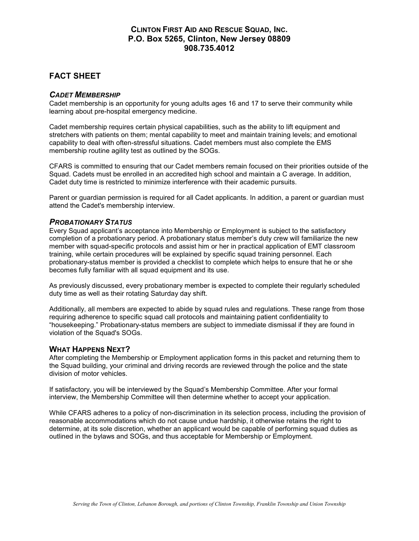# FACT SHEET

#### *CADET MEMBERSHIP*

Cadet membership is an opportunity for young adults ages 16 and 17 to serve their community while learning about pre-hospital emergency medicine.

Cadet membership requires certain physical capabilities, such as the ability to lift equipment and stretchers with patients on them; mental capability to meet and maintain training levels; and emotional capability to deal with often-stressful situations. Cadet members must also complete the EMS membership routine agility test as outlined by the SOGs.

CFARS is committed to ensuring that our Cadet members remain focused on their priorities outside of the Squad. Cadets must be enrolled in an accredited high school and maintain a C average. In addition, Cadet duty time is restricted to minimize interference with their academic pursuits.

Parent or guardian permission is required for all Cadet applicants. In addition, a parent or guardian must attend the Cadet's membership interview.

#### *PROBATIONARY STATUS*

Every Squad applicant's acceptance into Membership or Employment is subject to the satisfactory completion of a probationary period. A probationary status member's duty crew will familiarize the new member with squad-specific protocols and assist him or her in practical application of EMT classroom training, while certain procedures will be explained by specific squad training personnel. Each probationary-status member is provided a checklist to complete which helps to ensure that he or she becomes fully familiar with all squad equipment and its use.

As previously discussed, every probationary member is expected to complete their regularly scheduled duty time as well as their rotating Saturday day shift.

Additionally, all members are expected to abide by squad rules and regulations. These range from those requiring adherence to specific squad call protocols and maintaining patient confidentiality to "housekeeping." Probationary-status members are subject to immediate dismissal if they are found in violation of the Squad's SOGs.

#### WHAT HAPPENS NEXT?

After completing the Membership or Employment application forms in this packet and returning them to the Squad building, your criminal and driving records are reviewed through the police and the state division of motor vehicles.

If satisfactory, you will be interviewed by the Squad's Membership Committee. After your formal interview, the Membership Committee will then determine whether to accept your application.

While CFARS adheres to a policy of non-discrimination in its selection process, including the provision of reasonable accommodations which do not cause undue hardship, it otherwise retains the right to determine, at its sole discretion, whether an applicant would be capable of performing squad duties as outlined in the bylaws and SOGs, and thus acceptable for Membership or Employment.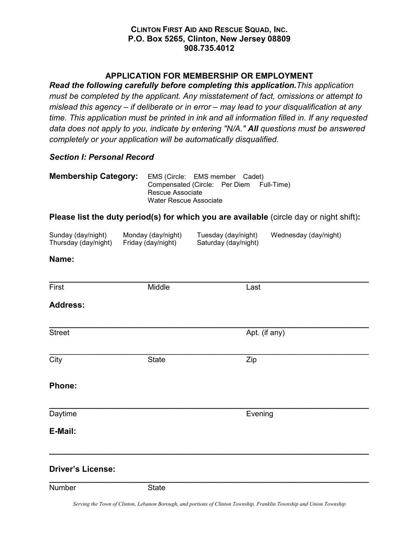## APPLICATION FOR MEMBERSHIP OR EMPLOYMENT

*Read the following carefully before completing this application.This application must be completed by the applicant. Any misstatement of fact, omissions or attempt to mislead this agency – if deliberate or in error – may lead to your disqualification at any time. This application must be printed in ink and all information filled in. If any requested data does not apply to you, indicate by entering "N/A." All questions must be answered completely or your application will be automatically disqualified.*

## *Section I: Personal Record*

| <b>Membership Category:</b> | EMS (Circle: EMS member Cadet)           |  |  |
|-----------------------------|------------------------------------------|--|--|
|                             | Compensated (Circle: Per Diem Full-Time) |  |  |
|                             | Rescue Associate                         |  |  |
|                             | Water Rescue Associate                   |  |  |

## Please list the duty period(s) for which you are available (circle day or night shift):

| Sunday (day/night)   | Monday (day/night) | Tuesday (day/night)  | Wednesday (day/night) |
|----------------------|--------------------|----------------------|-----------------------|
| Thursday (day/night) | Friday (day/night) | Saturday (day/night) |                       |

#### Name:

First **Example 2018** Middle **Contract Middle Last** 

\_\_\_\_\_\_\_\_\_\_\_\_\_\_\_\_\_\_\_\_\_\_\_\_\_\_\_\_\_\_\_\_\_\_\_\_\_\_\_\_\_\_\_\_\_\_\_\_\_\_\_\_\_\_\_\_\_\_\_\_\_\_\_\_\_\_\_\_\_\_

## Address:

\_\_\_\_\_\_\_\_\_\_\_\_\_\_\_\_\_\_\_\_\_\_\_\_\_\_\_\_\_\_\_\_\_\_\_\_\_\_\_\_\_\_\_\_\_\_\_\_\_\_\_\_\_\_\_\_\_\_\_\_\_\_\_\_\_\_\_\_\_\_ Street Apt. (if any)

\_\_\_\_\_\_\_\_\_\_\_\_\_\_\_\_\_\_\_\_\_\_\_\_\_\_\_\_\_\_\_\_\_\_\_\_\_\_\_\_\_\_\_\_\_\_\_\_\_\_\_\_\_\_\_\_\_\_\_\_\_\_\_\_\_\_\_\_\_\_ City **State** State **Zip** 

## Phone:

\_\_\_\_\_\_\_\_\_\_\_\_\_\_\_\_\_\_\_\_\_\_\_\_\_\_\_\_\_\_\_\_\_\_\_\_\_\_\_\_\_\_\_\_\_\_\_\_\_\_\_\_\_\_\_\_\_\_\_\_\_\_\_\_\_\_\_\_\_\_ Daytime **Evening** 

## E-Mail:

## Driver's License:

Number State

\_\_\_\_\_\_\_\_\_\_\_\_\_\_\_\_\_\_\_\_\_\_\_\_\_\_\_\_\_\_\_\_\_\_\_\_\_\_\_\_\_\_\_\_\_\_\_\_\_\_\_\_\_\_\_\_\_\_\_\_\_\_\_\_\_\_\_\_\_\_

\_\_\_\_\_\_\_\_\_\_\_\_\_\_\_\_\_\_\_\_\_\_\_\_\_\_\_\_\_\_\_\_\_\_\_\_\_\_\_\_\_\_\_\_\_\_\_\_\_\_\_\_\_\_\_\_\_\_\_\_\_\_\_\_\_\_\_\_\_\_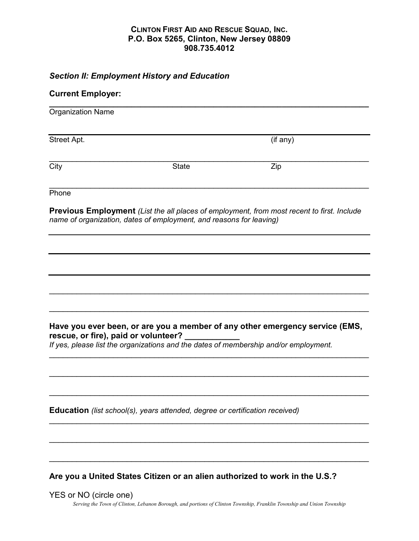## *Section II: Employment History and Education*

## Current Employer:

| Organization Name |              |          |  |
|-------------------|--------------|----------|--|
| Street Apt.       |              | (if any) |  |
| $\overline{City}$ | <b>State</b> | Zip      |  |
| Phone             |              |          |  |

Previous Employment *(List the all places of employment, from most recent to first. Include name of organization, dates of employment, and reasons for leaving)* 

## Have you ever been, or are you a member of any other emergency service (EMS, rescue, or fire), paid or volunteer?

\_\_\_\_\_\_\_\_\_\_\_\_\_\_\_\_\_\_\_\_\_\_\_\_\_\_\_\_\_\_\_\_\_\_\_\_\_\_\_\_\_\_\_\_\_\_\_\_\_\_\_\_\_\_\_\_\_\_\_\_\_\_\_\_\_\_\_\_\_\_

\_\_\_\_\_\_\_\_\_\_\_\_\_\_\_\_\_\_\_\_\_\_\_\_\_\_\_\_\_\_\_\_\_\_\_\_\_\_\_\_\_\_\_\_\_\_\_\_\_\_\_\_\_\_\_\_\_\_\_\_\_\_\_\_\_\_\_\_\_\_

\_\_\_\_\_\_\_\_\_\_\_\_\_\_\_\_\_\_\_\_\_\_\_\_\_\_\_\_\_\_\_\_\_\_\_\_\_\_\_\_\_\_\_\_\_\_\_\_\_\_\_\_\_\_\_\_\_\_\_\_\_\_\_\_\_\_\_\_\_\_

\_\_\_\_\_\_\_\_\_\_\_\_\_\_\_\_\_\_\_\_\_\_\_\_\_\_\_\_\_\_\_\_\_\_\_\_\_\_\_\_\_\_\_\_\_\_\_\_\_\_\_\_\_\_\_\_\_\_\_\_\_\_\_\_\_\_\_\_\_\_

\_\_\_\_\_\_\_\_\_\_\_\_\_\_\_\_\_\_\_\_\_\_\_\_\_\_\_\_\_\_\_\_\_\_\_\_\_\_\_\_\_\_\_\_\_\_\_\_\_\_\_\_\_\_\_\_\_\_\_\_\_\_\_\_\_\_\_\_\_\_

 $\_$  , and the contribution of the contribution of  $\mathcal{L}_\mathcal{A}$  , and the contribution of  $\mathcal{L}_\mathcal{A}$ 

\_\_\_\_\_\_\_\_\_\_\_\_\_\_\_\_\_\_\_\_\_\_\_\_\_\_\_\_\_\_\_\_\_\_\_\_\_\_\_\_\_\_\_\_\_\_\_\_\_\_\_\_\_\_\_\_\_\_\_\_\_\_\_\_\_\_\_\_\_\_

\_\_\_\_\_\_\_\_\_\_\_\_\_\_\_\_\_\_\_\_\_\_\_\_\_\_\_\_\_\_\_\_\_\_\_\_\_\_\_\_\_\_\_\_\_\_\_\_\_\_\_\_\_\_\_\_\_\_\_\_\_\_\_\_\_\_\_\_\_\_

*If yes, please list the organizations and the dates of membership and/or employment.* 

Education *(list school(s), years attended, degree or certification received)* 

Are you a United States Citizen or an alien authorized to work in the U.S.?

Serving the Town of Clinton, Lebanon Borough, and portions of Clinton Township, Franklin Township and Union Township YES or NO (circle one)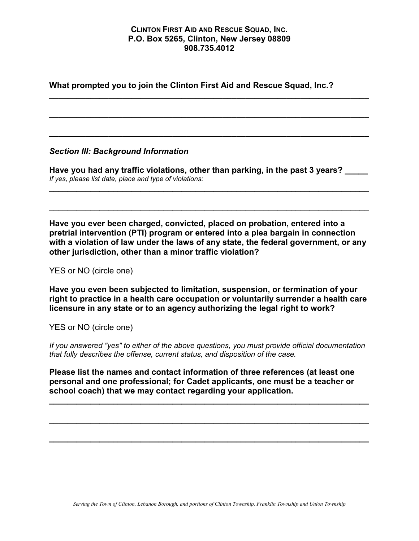\_\_\_\_\_\_\_\_\_\_\_\_\_\_\_\_\_\_\_\_\_\_\_\_\_\_\_\_\_\_\_\_\_\_\_\_\_\_\_\_\_\_\_\_\_\_\_\_\_\_\_\_\_\_\_\_\_\_\_\_\_\_\_\_\_\_\_\_\_\_

\_\_\_\_\_\_\_\_\_\_\_\_\_\_\_\_\_\_\_\_\_\_\_\_\_\_\_\_\_\_\_\_\_\_\_\_\_\_\_\_\_\_\_\_\_\_\_\_\_\_\_\_\_\_\_\_\_\_\_\_\_\_\_\_\_\_\_\_\_\_

\_\_\_\_\_\_\_\_\_\_\_\_\_\_\_\_\_\_\_\_\_\_\_\_\_\_\_\_\_\_\_\_\_\_\_\_\_\_\_\_\_\_\_\_\_\_\_\_\_\_\_\_\_\_\_\_\_\_\_\_\_\_\_\_\_\_\_\_\_\_

What prompted you to join the Clinton First Aid and Rescue Squad, Inc.?

## *Section III: Background Information*

Have you had any traffic violations, other than parking, in the past 3 years? *If yes, please list date, place and type of violations:*

\_\_\_\_\_\_\_\_\_\_\_\_\_\_\_\_\_\_\_\_\_\_\_\_\_\_\_\_\_\_\_\_\_\_\_\_\_\_\_\_\_\_\_\_\_\_\_\_\_\_\_\_\_\_\_\_\_\_\_\_\_\_\_\_\_\_\_\_\_\_

\_\_\_\_\_\_\_\_\_\_\_\_\_\_\_\_\_\_\_\_\_\_\_\_\_\_\_\_\_\_\_\_\_\_\_\_\_\_\_\_\_\_\_\_\_\_\_\_\_\_\_\_\_\_\_\_\_\_\_\_\_\_\_\_\_\_\_\_\_\_

Have you ever been charged, convicted, placed on probation, entered into a pretrial intervention (PTI) program or entered into a plea bargain in connection with a violation of law under the laws of any state, the federal government, or any other jurisdiction, other than a minor traffic violation?

YES or NO (circle one)

Have you even been subjected to limitation, suspension, or termination of your right to practice in a health care occupation or voluntarily surrender a health care licensure in any state or to an agency authorizing the legal right to work?

YES or NO (circle one)

*If you answered "yes" to either of the above questions, you must provide official documentation that fully describes the offense, current status, and disposition of the case.* 

Please list the names and contact information of three references (at least one personal and one professional; for Cadet applicants, one must be a teacher or school coach) that we may contact regarding your application.

\_\_\_\_\_\_\_\_\_\_\_\_\_\_\_\_\_\_\_\_\_\_\_\_\_\_\_\_\_\_\_\_\_\_\_\_\_\_\_\_\_\_\_\_\_\_\_\_\_\_\_\_\_\_\_\_\_\_\_\_\_\_\_\_\_\_\_\_\_\_

\_\_\_\_\_\_\_\_\_\_\_\_\_\_\_\_\_\_\_\_\_\_\_\_\_\_\_\_\_\_\_\_\_\_\_\_\_\_\_\_\_\_\_\_\_\_\_\_\_\_\_\_\_\_\_\_\_\_\_\_\_\_\_\_\_\_\_\_\_\_

\_\_\_\_\_\_\_\_\_\_\_\_\_\_\_\_\_\_\_\_\_\_\_\_\_\_\_\_\_\_\_\_\_\_\_\_\_\_\_\_\_\_\_\_\_\_\_\_\_\_\_\_\_\_\_\_\_\_\_\_\_\_\_\_\_\_\_\_\_\_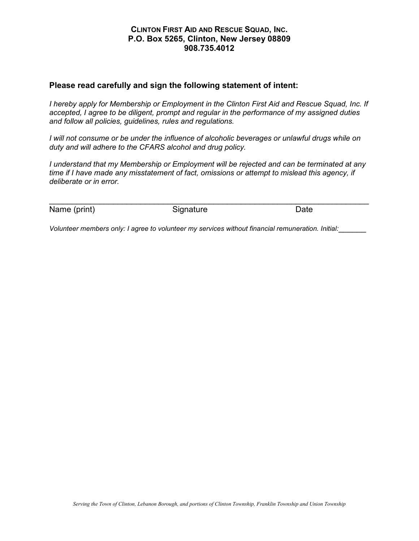### Please read carefully and sign the following statement of intent:

*I hereby apply for Membership or Employment in the Clinton First Aid and Rescue Squad, Inc. If accepted, I agree to be diligent, prompt and regular in the performance of my assigned duties and follow all policies, guidelines, rules and regulations.* 

*I* will not consume or be under the influence of alcoholic beverages or unlawful drugs while on *duty and will adhere to the CFARS alcohol and drug policy.* 

*I understand that my Membership or Employment will be rejected and can be terminated at any time if I have made any misstatement of fact, omissions or attempt to mislead this agency, if deliberate or in error.*

\_\_\_\_\_\_\_\_\_\_\_\_\_\_\_\_\_\_\_\_\_\_\_\_\_\_\_\_\_\_\_\_\_\_\_\_\_\_\_\_\_\_\_\_\_\_\_\_\_\_\_\_\_\_\_\_\_\_\_\_\_\_\_\_\_\_\_\_\_\_ Name (print) Signature Contract Date

*Volunteer members only: I agree to volunteer my services without financial remuneration. Initial:*\_\_\_\_\_\_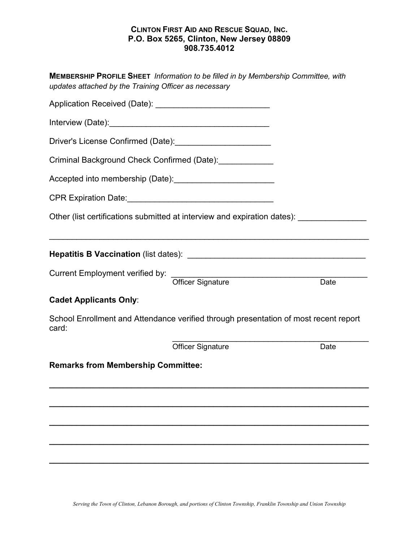| MEMBERSHIP PROFILE SHEET Information to be filled in by Membership Committee, with<br>updates attached by the Training Officer as necessary |      |  |  |  |  |
|---------------------------------------------------------------------------------------------------------------------------------------------|------|--|--|--|--|
|                                                                                                                                             |      |  |  |  |  |
|                                                                                                                                             |      |  |  |  |  |
| Criminal Background Check Confirmed (Date): ______________                                                                                  |      |  |  |  |  |
|                                                                                                                                             |      |  |  |  |  |
|                                                                                                                                             |      |  |  |  |  |
| Other (list certifications submitted at interview and expiration dates): ______________                                                     |      |  |  |  |  |
|                                                                                                                                             |      |  |  |  |  |
| Current Employment verified by: The Contract Signature                                                                                      | Date |  |  |  |  |
| <b>Cadet Applicants Only:</b>                                                                                                               |      |  |  |  |  |
| School Enrollment and Attendance verified through presentation of most recent report<br>card:                                               |      |  |  |  |  |
| <b>Officer Signature</b>                                                                                                                    | Date |  |  |  |  |
| <b>Remarks from Membership Committee:</b>                                                                                                   |      |  |  |  |  |
|                                                                                                                                             |      |  |  |  |  |
|                                                                                                                                             |      |  |  |  |  |
|                                                                                                                                             |      |  |  |  |  |
|                                                                                                                                             |      |  |  |  |  |
|                                                                                                                                             |      |  |  |  |  |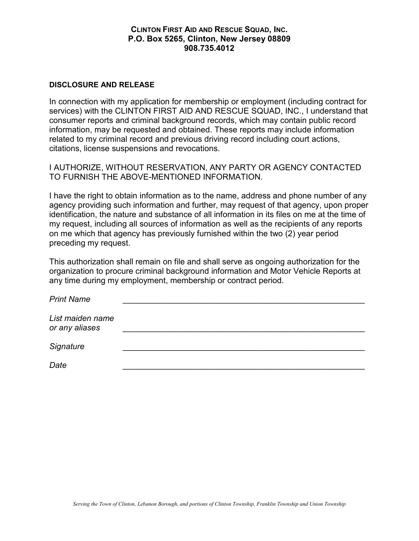#### DISCLOSURE AND RELEASE

In connection with my application for membership or employment (including contract for services) with the CLINTON FIRST AID AND RESCUE SQUAD, INC., I understand that consumer reports and criminal background records, which may contain public record information, may be requested and obtained. These reports may include information related to my criminal record and previous driving record including court actions, citations, license suspensions and revocations.

I AUTHORIZE, WITHOUT RESERVATION, ANY PARTY OR AGENCY CONTACTED TO FURNISH THE ABOVE-MENTIONED INFORMATION.

I have the right to obtain information as to the name, address and phone number of any agency providing such information and further, may request of that agency, upon proper identification, the nature and substance of all information in its files on me at the time of my request, including all sources of information as well as the recipients of any reports on me which that agency has previously furnished within the two (2) year period preceding my request.

This authorization shall remain on file and shall serve as ongoing authorization for the organization to procure criminal background information and Motor Vehicle Reports at any time during my employment, membership or contract period.

| <b>Print Name</b>                  |  |
|------------------------------------|--|
| List maiden name<br>or any aliases |  |
| Signature                          |  |
| Date                               |  |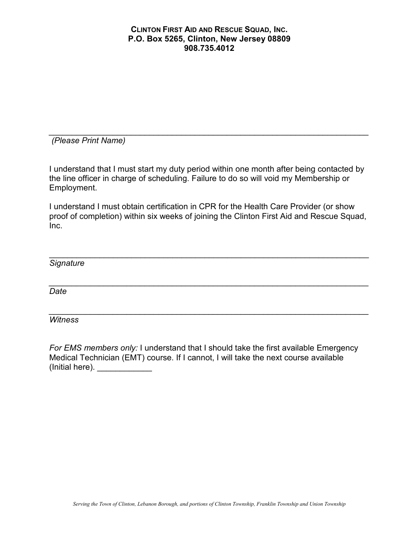*\_\_\_\_\_\_\_\_\_\_\_\_\_\_\_\_\_\_\_\_\_\_\_\_\_\_\_\_\_\_\_\_\_\_\_\_\_\_\_\_\_\_\_\_\_\_\_\_\_\_\_\_\_\_\_\_\_\_\_\_\_\_\_\_\_\_\_\_\_\_ (Please Print Name)* 

I understand that I must start my duty period within one month after being contacted by the line officer in charge of scheduling. Failure to do so will void my Membership or Employment.

I understand I must obtain certification in CPR for the Health Care Provider (or show proof of completion) within six weeks of joining the Clinton First Aid and Rescue Squad, Inc.

\_\_\_\_\_\_\_\_\_\_\_\_\_\_\_\_\_\_\_\_\_\_\_\_\_\_\_\_\_\_\_\_\_\_\_\_\_\_\_\_\_\_\_\_\_\_\_\_\_\_\_\_\_\_\_\_\_\_\_\_\_\_\_\_\_\_\_\_\_\_ *Signature* 

*\_\_\_\_\_\_\_\_\_\_\_\_\_\_\_\_\_\_\_\_\_\_\_\_\_\_\_\_\_\_\_\_\_\_\_\_\_\_\_\_\_\_\_\_\_\_\_\_\_\_\_\_\_\_\_\_\_\_\_\_\_\_\_\_\_\_\_\_\_\_ Date* 

*Witness* 

*For EMS members only:* I understand that I should take the first available Emergency Medical Technician (EMT) course. If I cannot, I will take the next course available  $($ Initial here).  $\qquad \qquad \qquad$ 

*\_\_\_\_\_\_\_\_\_\_\_\_\_\_\_\_\_\_\_\_\_\_\_\_\_\_\_\_\_\_\_\_\_\_\_\_\_\_\_\_\_\_\_\_\_\_\_\_\_\_\_\_\_\_\_\_\_\_\_\_\_\_\_\_\_\_\_\_\_\_*